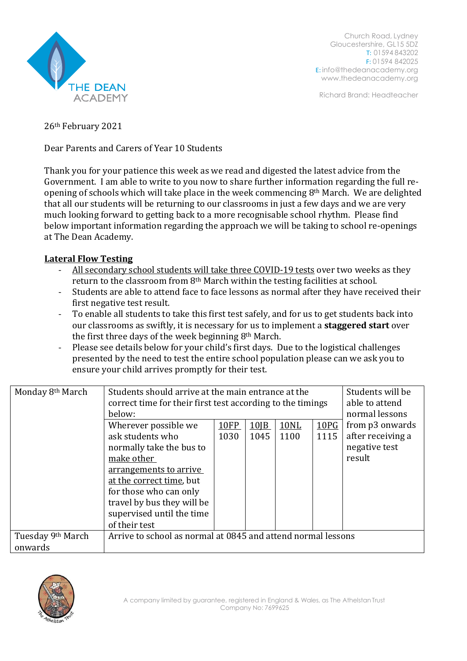

Church Road, Lydney Gloucestershire, GL15 5DZ T: 01594 843202 F: 01594 842025 E: [info@thedeanacademy.org](mailto:info@thedeanacademy.org) [www.thedeanacademy.org](http://www.thedeanacademy.org/)

Richard Brand: Headteacher

26th February 2021

Dear Parents and Carers of Year 10 Students

Thank you for your patience this week as we read and digested the latest advice from the Government. I am able to write to you now to share further information regarding the full reopening of schools which will take place in the week commencing 8th March. We are delighted that all our students will be returning to our classrooms in just a few days and we are very much looking forward to getting back to a more recognisable school rhythm. Please find below important information regarding the approach we will be taking to school re-openings at The Dean Academy.

## **Lateral Flow Testing**

- All secondary school students will take three COVID-19 tests over two weeks as they return to the classroom from 8th March within the testing facilities at school.
- Students are able to attend face to face lessons as normal after they have received their first negative test result.
- To enable all students to take this first test safely, and for us to get students back into our classrooms as swiftly, it is necessary for us to implement a **staggered start** over the first three days of the week beginning 8th March.
- Please see details below for your child's first days. Due to the logistical challenges presented by the need to test the entire school population please can we ask you to ensure your child arrives promptly for their test.

| Monday 8th March  | Students should arrive at the main entrance at the           |             |                    |             |      | Students will be  |
|-------------------|--------------------------------------------------------------|-------------|--------------------|-------------|------|-------------------|
|                   | correct time for their first test according to the timings   |             |                    |             |      | able to attend    |
|                   | below:                                                       |             |                    |             |      | normal lessons    |
|                   | Wherever possible we                                         | <b>10FP</b> | $10$ <sub>IB</sub> | <b>10NL</b> | 10PG | from p3 onwards   |
|                   | ask students who                                             | 1030        | 1045               | 1100        | 1115 | after receiving a |
|                   | normally take the bus to                                     |             |                    |             |      | negative test     |
|                   | make other                                                   |             |                    |             |      | result            |
|                   | arrangements to arrive                                       |             |                    |             |      |                   |
|                   | at the correct time, but                                     |             |                    |             |      |                   |
|                   | for those who can only                                       |             |                    |             |      |                   |
|                   | travel by bus they will be                                   |             |                    |             |      |                   |
|                   | supervised until the time                                    |             |                    |             |      |                   |
|                   | of their test                                                |             |                    |             |      |                   |
| Tuesday 9th March | Arrive to school as normal at 0845 and attend normal lessons |             |                    |             |      |                   |
| onwards           |                                                              |             |                    |             |      |                   |

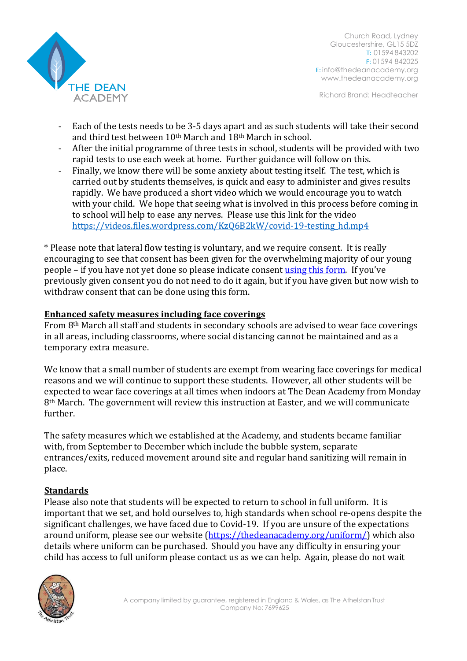

Church Road, Lydney Gloucestershire, GL15 5DZ T: 01594 843202 F: 01594 842025 E: [info@thedeanacademy.org](mailto:info@thedeanacademy.org) [www.thedeanacademy.org](http://www.thedeanacademy.org/)

Richard Brand: Headteacher

- Each of the tests needs to be 3-5 days apart and as such students will take their second and third test between 10th March and 18th March in school.
- After the initial programme of three tests in school, students will be provided with two rapid tests to use each week at home. Further guidance will follow on this.
- Finally, we know there will be some anxiety about testing itself. The test, which is carried out by students themselves, is quick and easy to administer and gives results rapidly. We have produced a short video which we would encourage you to watch with your child. We hope that seeing what is involved in this process before coming in to school will help to ease any nerves. Please use this link for the video [https://videos.files.wordpress.com/KzQ6B2kW/covid-19-testing\\_hd.mp4](https://videos.files.wordpress.com/KzQ6B2kW/covid-19-testing_hd.mp4)

\* Please note that lateral flow testing is voluntary, and we require consent. It is really encouraging to see that consent has been given for the overwhelming majority of our young people – if you have not yet done so please indicate consent [using this form.](https://forms.office.com/Pages/ResponsePage.aspx?id=bwmcfx5OQkyVKi6ApblT_Q5Rctbf-D9NmRWwSfV3aPhUNFFUNk1ZWkpIWTdXTEpOQ1Y4NjNMSEpCNy4u) If you've previously given consent you do not need to do it again, but if you have given but now wish to withdraw consent that can be done using this form.

## **Enhanced safety measures including face coverings**

From 8th March all staff and students in secondary schools are advised to wear face coverings in all areas, including classrooms, where social distancing cannot be maintained and as a temporary extra measure.

We know that a small number of students are exempt from wearing face coverings for medical reasons and we will continue to support these students. However, all other students will be expected to wear face coverings at all times when indoors at The Dean Academy from Monday 8th March. The government will review this instruction at Easter, and we will communicate further.

The safety measures which we established at the Academy, and students became familiar with, from September to December which include the bubble system, separate entrances/exits, reduced movement around site and regular hand sanitizing will remain in place.

## **Standards**

Please also note that students will be expected to return to school in full uniform. It is important that we set, and hold ourselves to, high standards when school re-opens despite the significant challenges, we have faced due to Covid-19. If you are unsure of the expectations around uniform, please see our website [\(https://thedeanacademy.org/uniform/\)](https://thedeanacademy.org/uniform/) which also details where uniform can be purchased. Should you have any difficulty in ensuring your child has access to full uniform please contact us as we can help. Again, please do not wait